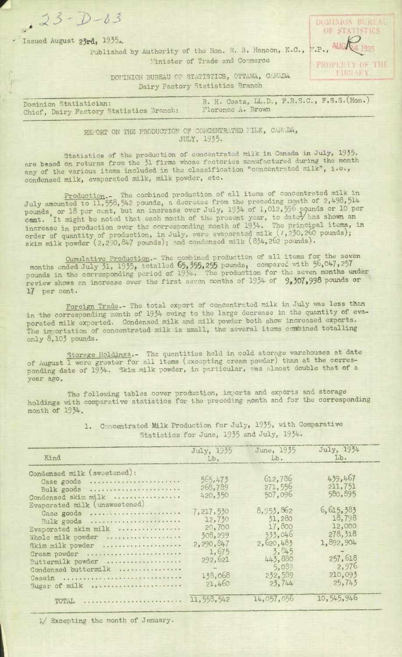· Issued August 23rd, 1935.

 $23 - D - 63$ 

V

Published by Authority of the Hon. R. B. Hanson, K.C., F.P., AUG Minister of Trade and Commerce



DOITNION BUREAU OF STATISTICS, OTTAWA, CANADA Dairy Factory Statistics Branch

Dominion Statistician: R. H. Coats, LL.D., F.R.S.C., F.S.S.(Hon.)<br>Chief. Dairy Factory Statistics Branch: Florence A. Brown Chief, Dairy Factory Statistics Branch:

> REPORT ON THE PRODUCTION OF CONCENTRATED FILK, CAULDA, JULY, 1935.

Statistics of the production of concentrated milk in **Canada in** July, 1955, are based on returns from the 31 firms whose factories manufactured during the month any of the various items included in the classification "concentrated milk", i.e., condensed milk, evaporated milk, milk powder, etc.

Production.- The combined production of all items of concentrated milk in July amounted to 11,558,542 pounds, a decrease from the preceding month of 2,498,514 pounds, or 18 per cent, but an increase over July, 1934 of 1,012,596 pounds or 10 per cent. It might be noted that each month of the present year, to datey has shown an increase in production over the corresponding month of 1934. The principal items, in order of quantity of production, in July, were evaporated milk  $(1, 230, 260$  pounds); skim milk powder  $(2, 2)0, 847$  pounds); and condensed milk  $(834, 262$  pounds).

cumulative Production.- The combined production of all items for the **seven**  months ended July 31, 1935, totalled 65, 355, 255 pounds, compared with 56, 047, 257 pounds in the corresponding period of 1954. The production for the seven months under review shows an increase over the first seven months of  $1934$  of  $9,307,998$  pounds or 17 per cent.

Foreign Trade.- The total export of concentrated milk in July was less than in the corresponding month of 1934 owing to the large decrease in the quantity of evaporated milk exported. Condensed milk and milk powder both show increased exports. The importation of concentrated milk is small, the several items combined totalling only 8,103 pounds.

Storage Holdings.- The quantities held in cold storage warehouses at date of August 1 were greater for all items (excepting cream powder) than at the corres ponding date of 1934. Skim milk powder, in particular, was almost double that of a year ago.

The following tables cover production, imports and exports and storage holdings with comparative statistics for the preceding month and for the corresponding month of 1934.

| Kind                                                                                                                                                                                              | July, 1935<br>Lb.                                                                                          | June, 1935<br>Lb.                                                                                       | July, 1934<br>Lb.                                                                                |
|---------------------------------------------------------------------------------------------------------------------------------------------------------------------------------------------------|------------------------------------------------------------------------------------------------------------|---------------------------------------------------------------------------------------------------------|--------------------------------------------------------------------------------------------------|
| Condensed milk (sweetened):<br>Case goods<br>Bulk goods<br>Condensed skim milk                                                                                                                    | 565,473<br>268,789<br>420, 350                                                                             | 612,786<br>271,556<br>507,096                                                                           | 439,467<br>211,751<br>580,895                                                                    |
| Evaporated milk (unsweetened)<br>Case goods<br>Bulk goods<br>Evaporated skim milk<br>Whole milk powder<br>Skim milk powder<br>Cream powder<br>Buttermilk powder<br>Condensed buttermilk<br>Casein | 7, 217, 530<br>12,730<br>20,700<br>308,299<br>2,290,847<br>1,675<br>292,621<br>$\sim$<br>138,068<br>21,460 | 8,953,862<br>31,280<br>17,800<br>333,046<br>2,620,483<br>3.845<br>443,880<br>5.089<br>232,589<br>23,744 | 6, 615, 383<br>18,798<br>12,000<br>278,318<br>1,892,904<br>257.618<br>2,976<br>210,093<br>25,743 |
| Sugar of milk<br><b>TOTAL</b>                                                                                                                                                                     | 11, 558, 542                                                                                               | 14,057,056                                                                                              | 10, 545, 946                                                                                     |

1. Concentrated Milk Production for July, <sup>1</sup>935, with Comparative Statistics for June, 1935 and July, <sup>1</sup>934.

1/ Excepting the month of January.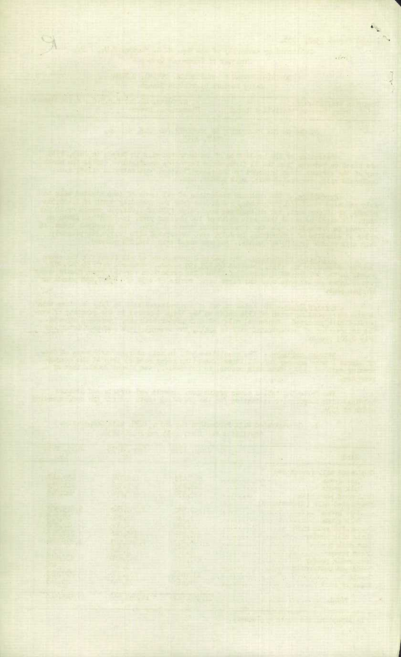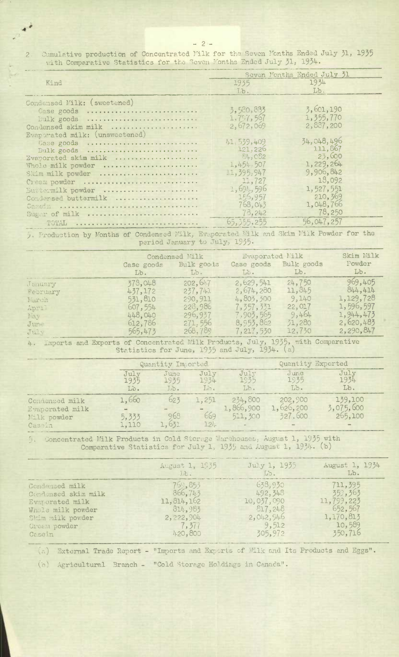Cumulative production of Concentrated Milk for the Seven Months Ended July 31, 1935  $2.$ with Comparative Statistics for the Seven Nonths Ended July 31, 1934.

|                                | Seven Months Ended July 31            |              |  |  |
|--------------------------------|---------------------------------------|--------------|--|--|
| Kind                           | 1935                                  | 1934         |  |  |
|                                | Lb.                                   | Lb.          |  |  |
| Condensed Milk: (sweetened)    |                                       |              |  |  |
| Case goods                     | 3,580,883                             | 3,601,190    |  |  |
| Bulk goods                     | 1,757,567                             | 1, 355, 770  |  |  |
| Condensed skim milk            | 2.672.069                             | 2,837,200    |  |  |
| Evaporated milk: (unsweetened) |                                       |              |  |  |
| Case goods                     | 41.539,409                            | 34,048,496   |  |  |
| Bulk goods                     | 121,226                               | 111,867      |  |  |
| Evaporated skim milk           | $C_{+}$ , $C_{-}$                     | 23,600       |  |  |
| Whole milk powder              | 1,454,507                             | 1,229,264    |  |  |
| Skim milk powder               | 11, 395, 947                          | 9,906,842    |  |  |
| Cream powder                   | 1.727                                 | 18,092       |  |  |
| Buttermilk powder              | $\frac{1}{2}$ , 69 <sup>1</sup> , 596 | 1,527,551    |  |  |
| Condensed buttermilk           | 156,957                               | 210,369      |  |  |
| Casein                         | 768,043                               | 1,048,766    |  |  |
| Sugar of milk                  | 73,242                                | 78,250       |  |  |
| $TOTM$ ,                       | 65, 555, 255                          | 56, 047, 257 |  |  |

). Production by Months of Condensed Milk, Evaporated Milk and Skim Milk Powder for the period January to July, 1935.

|          |                   | Condensed Milk       |                      | Evaporated Milk      |               |
|----------|-------------------|----------------------|----------------------|----------------------|---------------|
|          | Case goods<br>Lb. | Bulk goods<br>$Lb$ . | Case goods<br>$Lb$ . | Bulk goods<br>$Lb$ . | Powder<br>Lb. |
| January  | 378,048           | 202, 647             | 2,629,541            | 24,750               | 969,405       |
| February | 437, 172          | 237,741              | 2,674,280            | 11,845               | 844.414       |
| Narch    | 531,810           | 290, 911             | 4,803,300            | 9,140                | 1,129,728     |
| April    | 607, 554          | 228,986              | 7, 357, 331          | 22,017               | 1,596,597     |
| Fay      | 448.040           | 296, 937             | 7,903,565            | 9,464                | 1, 944, 473   |
| June     | 612,786           | 271,556              | 8,953,862            | 31,280               | 2,620,483     |
| July     | 565,473           | 268,789              | 7, 217, 530          | 12,730               | 2,290,847     |

4. Imports and Exports of Concentrated Milk Products, July, 1935, with Comparative Statistics for June, 1935 and July, 1934. (a)

|                                   | Quantity Imported    |                        |                                           | Quantity Exported       |                      |                      |
|-----------------------------------|----------------------|------------------------|-------------------------------------------|-------------------------|----------------------|----------------------|
|                                   | Julv<br>1935.<br>Lo. | June<br>1935<br>$Jb$ . | July<br>1934<br>$\overline{\text{Lip}}$ . | Ju1r<br>1935<br>$I$ .b. | June<br>1935<br>Lb.  | July<br>1934<br>Lb.  |
| Condensed milk<br>Evaporated milk | 1.660                | 623                    | 1,251                                     | 234,800<br>1,866,900    | 202,900<br>1,626,200 | 139,100<br>3,075,600 |
| Milk powder<br>Casein             | 5.333<br>1,110       | 968<br>.631            | 669<br>12!                                | 511,300                 | 327.600              | 265,100              |

Concentrated Milk Products in Cold Storage Warehouses, August 1, 1935 with<br>Comparative Statistics for July 1, 1935 and August 1, 1934. (b)  $5.$ 

|                     | August 1, 1935  | July 1, 1935 | August 1, 1934 |
|---------------------|-----------------|--------------|----------------|
|                     | $J_{\text{th}}$ | $T_{12}$     | $Lb$ .         |
| Condensed milk      | 769,853         | 638,930      | 711, 395       |
| Condonsed skim milk | 866, 743        | 492, 348     | 359,363        |
| Evaporated milk     | 11, 814, 162    | 10,037,090   | 11,799,223     |
| Whole milk powder   | 814.983         | 817,248      | 652,567        |
| Skim milk powder    | 2, 222, 904     | 2,042,946    | 1,170,813      |
| Cream powder        | 7.377           | 9,512        | 10,589         |
| Casein              | 420,800         | 305,972      | 350,716        |

(a) External Trade Report - "Imports and Exports of Milk and Its Products and Eggs".

(b) Agricultural Branch - "Cold Storage Holdings in Canada".